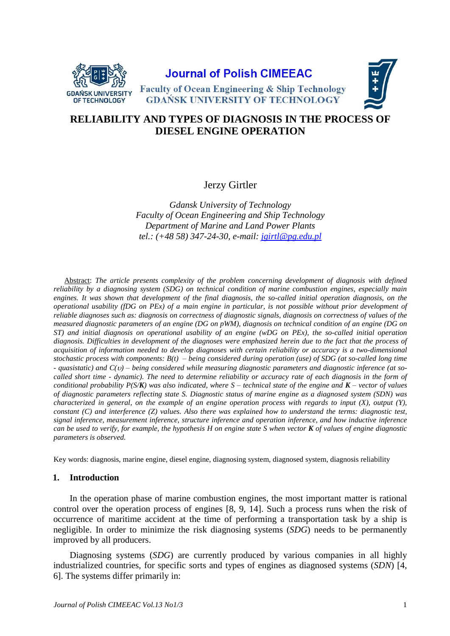

## **Journal of Polish CIMEEAC**



**Faculty of Ocean Engineering & Ship Technology GDANSK UNIVERSITY OF TECHNOLOGY** 

# **RELIABILITY AND TYPES OF DIAGNOSIS IN THE PROCESS OF DIESEL ENGINE OPERATION**

## Jerzy Girtler

*Gdansk University of Technology Faculty of Ocean Engineering and Ship Technology Department of Marine and Land Power Plants tel.: (+48 58) 347-24-30, e-mail: [jgirtl@pg.edu.pl](mailto:jgirtl@pg.edu.pl)*

Abstract: *The article presents complexity of the problem concerning development of diagnosis with defined reliability by a diagnosing system (SDG) on technical condition of marine combustion engines, especially main engines. It was shown that development of the final diagnosis, the so-called initial operation diagnosis, on the operational usability (fDG on PEx) of a main engine in particular, is not possible without prior development of reliable diagnoses such as: diagnosis on correctness of diagnostic signals, diagnosis on correctness of values of the measured diagnostic parameters of an engine (DG on pWM), diagnosis on technical condition of an engine (DG on ST) and initial diagnosis on operational usability of an engine (wDG on PEx), the so-called initial operation diagnosis. Difficulties in development of the diagnoses were emphasized herein due to the fact that the process of acquisition of information needed to develop diagnoses with certain reliability or accuracy is a two-dimensional stochastic process with components: B(t) – being considered during operation (use) of SDG (at so-called long time - quasistatic) and C() – being considered while measuring diagnostic parameters and diagnostic inference (at socalled short time - dynamic). The need to determine reliability or accuracy rate of each diagnosis in the form of conditional probability P(S/K) was also indicated, where S – technical state of the engine and K – vector of values of diagnostic parameters reflecting state S. Diagnostic status of marine engine as a diagnosed system (SDN) was characterized in general, on the example of an engine operation process with regards to input (X), output (Y), constant (C) and interference (Z) values. Also there was explained how to understand the terms: diagnostic test, signal inference, measurement inference, structure inference and operation inference, and how inductive inference can be used to verify, for example, the hypothesis H on engine state S when vector K of values of engine diagnostic parameters is observed.*

Key words: diagnosis, marine engine, diesel engine, diagnosing system, diagnosed system, diagnosis reliability

### **1. Introduction**

In the operation phase of marine combustion engines, the most important matter is rational control over the operation process of engines [8, 9, 14]. Such a process runs when the risk of occurrence of maritime accident at the time of performing a transportation task by a ship is negligible. In order to minimize the risk diagnosing systems (*SDG*) needs to be permanently improved by all producers.

Diagnosing systems (*SDG*) are currently produced by various companies in all highly industrialized countries, for specific sorts and types of engines as diagnosed systems (*SDN*) [4, 6]. The systems differ primarily in: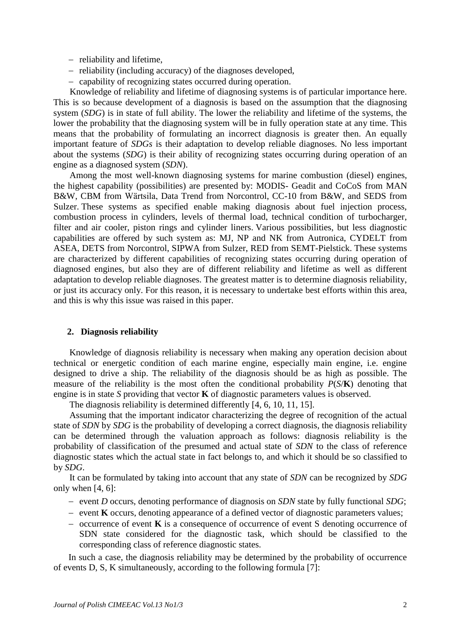- reliability and lifetime,
- reliability (including accuracy) of the diagnoses developed,
- capability of recognizing states occurred during operation.

Knowledge of reliability and lifetime of diagnosing systems is of particular importance here. This is so because development of a diagnosis is based on the assumption that the diagnosing system (*SDG*) is in state of full ability. The lower the reliability and lifetime of the systems, the lower the probability that the diagnosing system will be in fully operation state at any time. This means that the probability of formulating an incorrect diagnosis is greater then. An equally important feature of *SDGs* is their adaptation to develop reliable diagnoses. No less important about the systems (*SDG*) is their ability of recognizing states occurring during operation of an engine as a diagnosed system (*SDN*).

Among the most well-known diagnosing systems for marine combustion (diesel) engines, the highest capability (possibilities) are presented by: MODIS- Geadit and CoCoS from MAN B&W, CBM from Wärtsila, Data Trend from Norcontrol, CC-10 from B&W, and SEDS from Sulzer. These systems as specified enable making diagnosis about fuel injection process, combustion process in cylinders, levels of thermal load, technical condition of turbocharger, filter and air cooler, piston rings and cylinder liners. Various possibilities, but less diagnostic capabilities are offered by such system as: MJ, NP and NK from Autronica, CYDELT from ASEA, DETS from Norcontrol, SIPWA from Sulzer, RED from SEMT-Pielstick. These systems are characterized by different capabilities of recognizing states occurring during operation of diagnosed engines, but also they are of different reliability and lifetime as well as different adaptation to develop reliable diagnoses. The greatest matter is to determine diagnosis reliability, or just its accuracy only. For this reason, it is necessary to undertake best efforts within this area, and this is why this issue was raised in this paper.

#### **2. Diagnosis reliability**

Knowledge of diagnosis reliability is necessary when making any operation decision about technical or energetic condition of each marine engine, especially main engine, i.e. engine designed to drive a ship. The reliability of the diagnosis should be as high as possible. The measure of the reliability is the most often the conditional probability *P*(*S*/**K**) denoting that engine is in state *S* providing that vector **K** of diagnostic parameters values is observed.

The diagnosis reliability is determined differently [4, 6, 10, 11, 15].

Assuming that the important indicator characterizing the degree of recognition of the actual state of *SDN* by *SDG* is the probability of developing a correct diagnosis, the diagnosis reliability can be determined through the valuation approach as follows: diagnosis reliability is the probability of classification of the presumed and actual state of *SDN* to the class of reference diagnostic states which the actual state in fact belongs to, and which it should be so classified to by *SDG*.

It can be formulated by taking into account that any state of *SDN* can be recognized by *SDG* only when  $[4, 6]$ :

- event *D* occurs, denoting performance of diagnosis on *SDN* state by fully functional *SDG*;
- $\epsilon$  event **K** occurs, denoting appearance of a defined vector of diagnostic parameters values;
- $\sim$  occurrence of event **K** is a consequence of occurrence of event S denoting occurrence of SDN state considered for the diagnostic task, which should be classified to the corresponding class of reference diagnostic states.

In such a case, the diagnosis reliability may be determined by the probability of occurrence of events D, S, K simultaneously, according to the following formula [7]: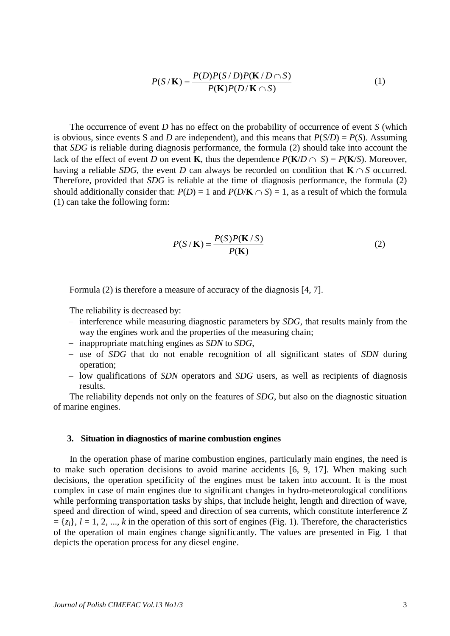$$
P(S/K) = \frac{P(D)P(S/D)P(K/D \cap S)}{P(K)P(D/K \cap S)}
$$
(1)

The occurrence of event *D* has no effect on the probability of occurrence of event *S* (which is obvious, since events S and *D* are independent), and this means that  $P(S/D) = P(S)$ . Assuming that *SDG* is reliable during diagnosis performance, the formula (2) should take into account the lack of the effect of event *D* on event **K**, thus the dependence  $P(K/D \cap S) = P(K/S)$ . Moreover, having a reliable *SDG*, the event *D* can always be recorded on condition that  $\mathbf{K} \cap S$  occurred. Therefore, provided that *SDG* is reliable at the time of diagnosis performance, the formula (2) should additionally consider that:  $P(D) = 1$  and  $P(D/K \cap S) = 1$ , as a result of which the formula (1) can take the following form:

$$
P(S/K) = \frac{P(S)P(K/S)}{P(K)}
$$
 (2)

Formula (2) is therefore a measure of accuracy of the diagnosis [4, 7].

The reliability is decreased by:

- interference while measuring diagnostic parameters by *SDG*, that results mainly from the way the engines work and the properties of the measuring chain;
- inappropriate matching engines as *SDN* to *SDG*,
- use of *SDG* that do not enable recognition of all significant states of *SDN* during operation;
- low qualifications of *SDN* operators and *SDG* users, as well as recipients of diagnosis results.

The reliability depends not only on the features of *SDG*, but also on the diagnostic situation of marine engines.

#### **3. Situation in diagnostics of marine combustion engines**

In the operation phase of marine combustion engines, particularly main engines, the need is to make such operation decisions to avoid marine accidents [6, 9, 17]. When making such decisions, the operation specificity of the engines must be taken into account. It is the most complex in case of main engines due to significant changes in hydro-meteorological conditions while performing transportation tasks by ships, that include height, length and direction of wave, speed and direction of wind, speed and direction of sea currents, which constitute interference *Z*  $= \{z_l\}, l = 1, 2, ..., k$  in the operation of this sort of engines (Fig. 1). Therefore, the characteristics of the operation of main engines change significantly. The values are presented in Fig. 1 that depicts the operation process for any diesel engine.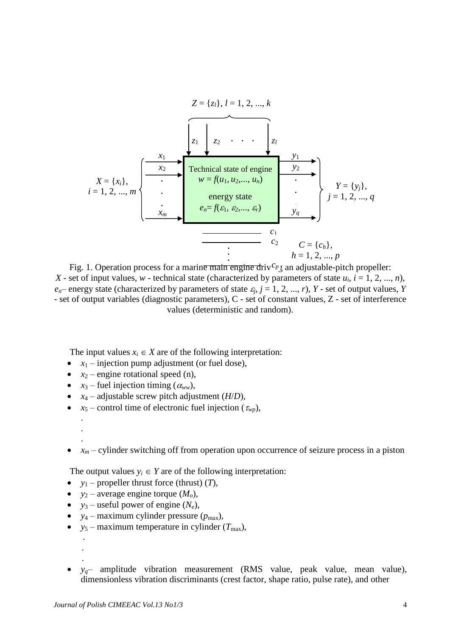*c*1 Technical state of engine *w* = *f*(*u*1, *u*2,..., *un*) energy state *en*= *f*(1, 2,..., *r*) *x*1 . . . *xm x*2 *y*1 . . *yq y*2 *X* = {*xi*}, *i* = 1, 2, ..., *m Y* = {*yj*}, *j* = 1, 2, ..., *q z*<sup>1</sup> *z*<sup>2</sup> *z<sup>l</sup>* . . . *Z* = {*zl*}, *l* = 1, 2, ..., *k c*2 *C* = {*ch*}, *h* = 1, 2, ..., *p*

Fig. 1. Operation process for a marin<del>e main engine d</del>riv<sup>c<sub>p</sub></sub> an adjustable-pitch propeller:</sup> *X* - set of input values, *w* - technical state (characterized by parameters of state  $u_i$ ,  $i = 1, 2, ..., n$ ),  $e_n$  – energy state (characterized by parameters of state  $\varepsilon_j$ ,  $j = 1, 2, ..., r$ ),  $Y$  - set of output values, *Y* - set of output variables (diagnostic parameters), C - set of constant values, Z - set of interference values (deterministic and random).

The input values  $x_i \in X$  are of the following interpretation:

- $x_1$  injection pump adjustment (or fuel dose),
- $x_2$  engine rotational speed (n),
- $x_3$  fuel injection timing ( $\alpha_{ww}$ ),
- $x_4$  adjustable screw pitch adjustment (*H*/*D*),
- $x_5$  control time of electronic fuel injection ( $\tau_{wp}$ ),
- . .

.

 $\bullet$   $x_m$  – cylinder switching off from operation upon occurrence of seizure process in a piston

The output values  $y_i \in Y$  are of the following interpretation:

- $y_1$  propeller thrust force (thrust)  $(T)$ ,
- $y_2$  average engine torque  $(M_o)$ ,
- $y_3$  useful power of engine  $(N_e)$ ,
- $v_4$  maximum cylinder pressure ( $p_{\text{max}}$ ),
- $y_5$  maximum temperature in cylinder  $(T_{\text{max}})$ ,
- . .

.

•  $y_q$ – amplitude vibration measurement (RMS value, peak value, mean value), dimensionless vibration discriminants (crest factor, shape ratio, pulse rate), and other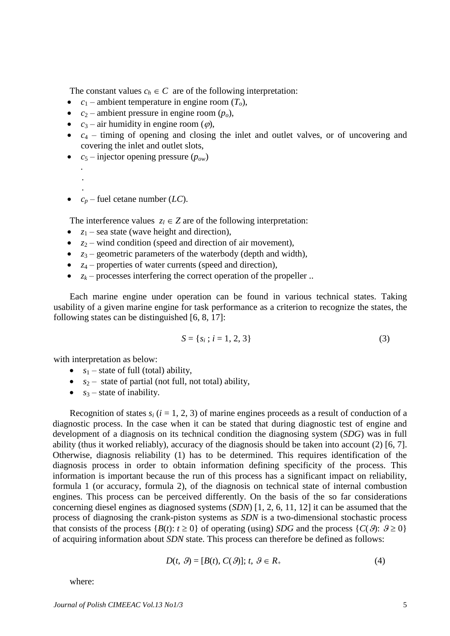The constant values  $c_h \in C$  are of the following interpretation:

- $c_1$  ambient temperature in engine room  $(T_o)$ ,
- $c_2$  ambient pressure in engine room  $(p_o)$ ,
- $c_3$  air humidity in engine room ( $\varphi$ ),
- $\bullet$   $c_4$  timing of opening and closing the inlet and outlet valves, or of uncovering and covering the inlet and outlet slots,
- $c_5$  injector opening pressure ( $p_{ow}$ )

```
.
.
.
```
•  $c_p$  – fuel cetane number (*LC*).

The interference values  $z_l \in Z$  are of the following interpretation:

- $z_1$  sea state (wave height and direction),
- $z_2$  wind condition (speed and direction of air movement),
- $z_3$  geometric parameters of the waterbody (depth and width),
- *z*<sub>4</sub> properties of water currents (speed and direction),
- $z_k$  processes interfering the correct operation of the propeller ...

Each marine engine under operation can be found in various technical states. Taking usability of a given marine engine for task performance as a criterion to recognize the states, the following states can be distinguished [6, 8, 17]:

$$
S = \{s_i \, ; \, i = 1, 2, 3\} \tag{3}
$$

with interpretation as below:

- $s_1$  state of full (total) ability,
- $s_2$  state of partial (not full, not total) ability,
- $s_3$  state of inability.

Recognition of states  $s_i$  ( $i = 1, 2, 3$ ) of marine engines proceeds as a result of conduction of a diagnostic process. In the case when it can be stated that during diagnostic test of engine and development of a diagnosis on its technical condition the diagnosing system (*SDG*) was in full ability (thus it worked reliably), accuracy of the diagnosis should be taken into account (2) [6, 7]. Otherwise, diagnosis reliability (1) has to be determined. This requires identification of the diagnosis process in order to obtain information defining specificity of the process. This information is important because the run of this process has a significant impact on reliability, formula 1 (or accuracy, formula 2), of the diagnosis on technical state of internal combustion engines. This process can be perceived differently. On the basis of the so far considerations concerning diesel engines as diagnosed systems (*SDN*) [1, 2, 6, 11, 12] it can be assumed that the process of diagnosing the crank-piston systems as *SDN* is a two-dimensional stochastic process that consists of the process  ${B(t): t \ge 0}$  of operating (using) *SDG* and the process  ${C(\vartheta): \vartheta \ge 0}$ of acquiring information about *SDN* state. This process can therefore be defined as follows:

$$
D(t, \mathcal{G}) = [B(t), C(\mathcal{G})]; t, \mathcal{G} \in R_+
$$
\n
$$
(4)
$$

where: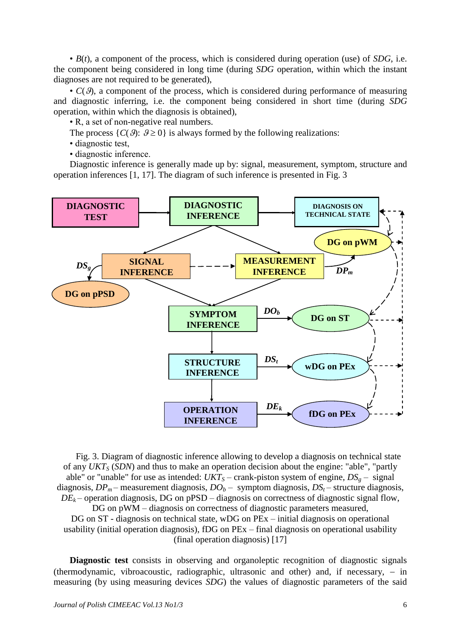• *B*(*t*), a component of the process, which is considered during operation (use) of *SDG*, i.e. the component being considered in long time (during *SDG* operation, within which the instant diagnoses are not required to be generated),

 $\bullet$   $C(\vartheta)$ , a component of the process, which is considered during performance of measuring and diagnostic inferring, i.e. the component being considered in short time (during *SDG* operation, within which the diagnosis is obtained),

• R, a set of non-negative real numbers.

The process  $\{C(\vartheta): \vartheta \geq 0\}$  is always formed by the following realizations:

• diagnostic test,

• diagnostic inference.

Diagnostic inference is generally made up by: signal, measurement, symptom, structure and operation inferences [1, 17]. The diagram of such inference is presented in Fig. 3



Fig. 3. Diagram of diagnostic inference allowing to develop a diagnosis on technical state of any *UKT<sup>S</sup>* (*SDN*) and thus to make an operation decision about the engine: "able", "partly able" or "unable" for use as intended:  $UKT<sub>S</sub>$  – crank-piston system of engine,  $DS<sub>g</sub>$  – signal diagnosis,  $DP_m$  – measurement diagnosis,  $DO_b$  – symptom diagnosis,  $DS_t$  – structure diagnosis,  $DE<sub>k</sub>$  – operation diagnosis, DG on pPSD – diagnosis on correctness of diagnostic signal flow, DG on  $pWM -$ diagnosis on correctness of diagnostic parameters measured, DG on ST - diagnosis on technical state, wDG on PEx – initial diagnosis on operational usability (initial operation diagnosis), fDG on PEx – final diagnosis on operational usability

(final operation diagnosis) [17]

**Diagnostic test** consists in observing and organoleptic recognition of diagnostic signals (thermodynamic, vibroacoustic, radiographic, ultrasonic and other) and, if necessary,  $-$  in measuring (by using measuring devices *SDG*) the values of diagnostic parameters of the said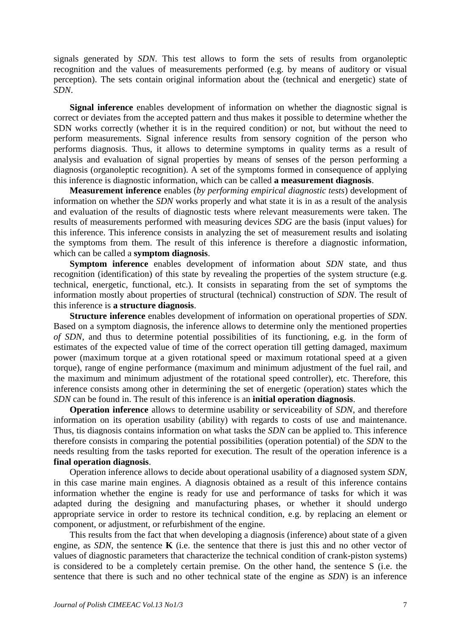signals generated by *SDN*. This test allows to form the sets of results from organoleptic recognition and the values of measurements performed (e.g. by means of auditory or visual perception). The sets contain original information about the (technical and energetic) state of *SDN*.

**Signal inference** enables development of information on whether the diagnostic signal is correct or deviates from the accepted pattern and thus makes it possible to determine whether the SDN works correctly (whether it is in the required condition) or not, but without the need to perform measurements. Signal inference results from sensory cognition of the person who performs diagnosis. Thus, it allows to determine symptoms in quality terms as a result of analysis and evaluation of signal properties by means of senses of the person performing a diagnosis (organoleptic recognition). A set of the symptoms formed in consequence of applying this inference is diagnostic information, which can be called **a measurement diagnosis**.

**Measurement inference** enables (*by performing empirical diagnostic tests*) development of information on whether the *SDN* works properly and what state it is in as a result of the analysis and evaluation of the results of diagnostic tests where relevant measurements were taken. The results of measurements performed with measuring devices *SDG* are the basis (input values) for this inference. This inference consists in analyzing the set of measurement results and isolating the symptoms from them. The result of this inference is therefore a diagnostic information, which can be called a **symptom diagnosis**.

**Symptom inference** enables development of information about *SDN* state, and thus recognition (identification) of this state by revealing the properties of the system structure (e.g. technical, energetic, functional, etc.). It consists in separating from the set of symptoms the information mostly about properties of structural (technical) construction of *SDN*. The result of this inference is **a structure diagnosis**.

**Structure inference** enables development of information on operational properties of *SDN*. Based on a symptom diagnosis, the inference allows to determine only the mentioned properties *of SDN*, and thus to determine potential possibilities of its functioning, e.g. in the form of estimates of the expected value of time of the correct operation till getting damaged, maximum power (maximum torque at a given rotational speed or maximum rotational speed at a given torque), range of engine performance (maximum and minimum adjustment of the fuel rail, and the maximum and minimum adjustment of the rotational speed controller), etc. Therefore, this inference consists among other in determining the set of energetic (operation) states which the *SDN* can be found in. The result of this inference is an **initial operation diagnosis**.

**Operation inference** allows to determine usability or serviceability of *SDN*, and therefore information on its operation usability (ability) with regards to costs of use and maintenance. Thus, tis diagnosis contains information on what tasks the *SDN* can be applied to. This inference therefore consists in comparing the potential possibilities (operation potential) of the *SDN* to the needs resulting from the tasks reported for execution. The result of the operation inference is a **final operation diagnosis**.

Operation inference allows to decide about operational usability of a diagnosed system *SDN*, in this case marine main engines. A diagnosis obtained as a result of this inference contains information whether the engine is ready for use and performance of tasks for which it was adapted during the designing and manufacturing phases, or whether it should undergo appropriate service in order to restore its technical condition, e.g. by replacing an element or component, or adjustment, or refurbishment of the engine.

This results from the fact that when developing a diagnosis (inference) about state of a given engine, as *SDN*, the sentence **K** (i.e. the sentence that there is just this and no other vector of values of diagnostic parameters that characterize the technical condition of crank-piston systems) is considered to be a completely certain premise. On the other hand, the sentence S (i.e. the sentence that there is such and no other technical state of the engine as *SDN*) is an inference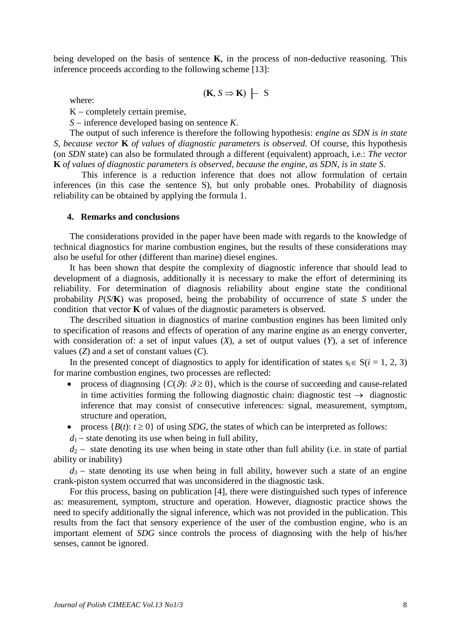being developed on the basis of sentence **K**, in the process of non-deductive reasoning. This inference proceeds according to the following scheme [13]:

$$
(\mathbf{K}, S \Rightarrow \mathbf{K})
$$
  $\vdash$  S

where:

 $K$  – completely certain premise,

 $S$  – inference developed basing on sentence *K*.

The output of such inference is therefore the following hypothesis: *engine as SDN is in state S, because vector* **K** *of values of diagnostic parameters is observed.* Of course, this hypothesis (on *SDN* state) can also be formulated through a different (equivalent) approach, i.e.: *The vector*  **K** *of values of diagnostic parameters is observed, because the engine, as SDN, is in state S*.

 This inference is a reduction inference that does not allow formulation of certain inferences (in this case the sentence S), but only probable ones. Probability of diagnosis reliability can be obtained by applying the formula 1.

#### **4. Remarks and conclusions**

The considerations provided in the paper have been made with regards to the knowledge of technical diagnostics for marine combustion engines, but the results of these considerations may also be useful for other (different than marine) diesel engines.

It has been shown that despite the complexity of diagnostic inference that should lead to development of a diagnosis, additionally it is necessary to make the effort of determining its reliability. For determination of diagnosis reliability about engine state the conditional probability *P*(*S*/**K**) was proposed, being the probability of occurrence of state *S* under the condition that vector **K** of values of the diagnostic parameters is observed.

The described situation in diagnostics of marine combustion engines has been limited only to specification of reasons and effects of operation of any marine engine as an energy converter, with consideration of: a set of input values (*X*), a set of output values (*Y*), a set of inference values (*Z*) and a set of constant values (*C*).

In the presented concept of diagnostics to apply for identification of states  $s_i \in S(i = 1, 2, 3)$ for marine combustion engines, two processes are reflected:

- process of diagnosing  $\{C(\mathcal{G}) : \mathcal{G} \geq 0\}$ , which is the course of succeeding and cause-related in time activities forming the following diagnostic chain: diagnostic test  $\rightarrow$  diagnostic inference that may consist of consecutive inferences: signal, measurement, symptom, structure and operation,
- process  ${B(t): t \ge 0}$  of using *SDG*, the states of which can be interpreted as follows:

 $d_1$  – state denoting its use when being in full ability,

 $d_2$  – state denoting its use when being in state other than full ability (i.e. in state of partial ability or inability)

 $d_3$  – state denoting its use when being in full ability, however such a state of an engine crank-piston system occurred that was unconsidered in the diagnostic task.

For this process, basing on publication [4], there were distinguished such types of inference as: measurement, symptom, structure and operation. However, diagnostic practice shows the need to specify additionally the signal inference, which was not provided in the publication. This results from the fact that sensory experience of the user of the combustion engine, who is an important element of *SDG* since controls the process of diagnosing with the help of his/her senses, cannot be ignored.